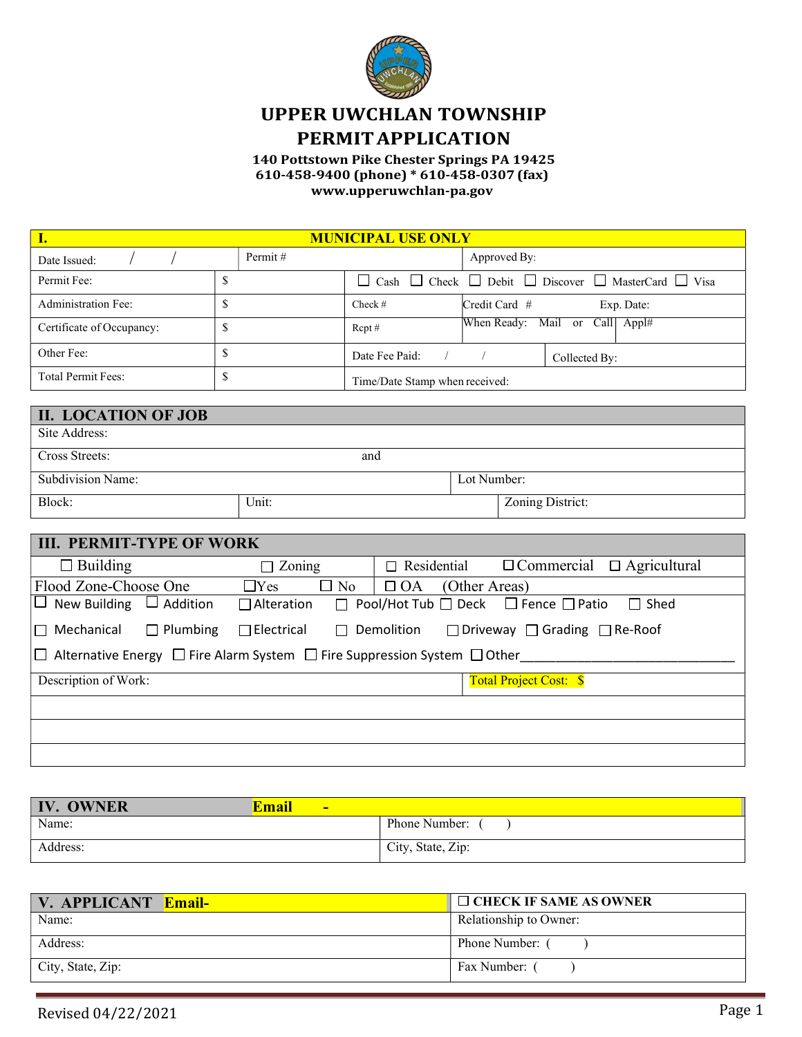

# UPPER UWCHLAN TOWNSHIP PERMIT APPLICATION

140 Pottstown Pike Chester Springs PA 19425 610-458-9400 (phone) \* 610-458-0307 (fax) www.upperuwchlan-pa.gov

| <b>MUNICIPAL USE ONLY</b> |         |                                |               |                                                                                     |  |
|---------------------------|---------|--------------------------------|---------------|-------------------------------------------------------------------------------------|--|
| Date Issued:              | Permit# |                                | Approved By:  |                                                                                     |  |
| Permit Fee:               | ъ       | $\Box$                         |               | $\Box$ Cash $\Box$ Check $\Box$ Debit $\Box$ Discover $\Box$ MasterCard $\Box$ Visa |  |
| Administration Fee:       | P       | Check $#$                      | Credit Card # | Exp. Date:                                                                          |  |
| Certificate of Occupancy: | S       | $Rept \#$                      |               | When Ready: Mail or Call Appl#                                                      |  |
| Other Fee:                | P       | Date Fee Paid:                 |               | Collected By:                                                                       |  |
| <b>Total Permit Fees:</b> | P       | Time/Date Stamp when received: |               |                                                                                     |  |

| <b>II. LOCATION OF JOB</b> |       |             |                  |
|----------------------------|-------|-------------|------------------|
| Site Address:              |       |             |                  |
| Cross Streets:             | and   |             |                  |
| Subdivision Name:          |       | Lot Number: |                  |
| Block:                     | Unit: |             | Zoning District: |

| <b>III. PERMIT-TYPE OF WORK</b>                                                                |                                                                                                            |                                      |  |                    |  |                                                           |             |
|------------------------------------------------------------------------------------------------|------------------------------------------------------------------------------------------------------------|--------------------------------------|--|--------------------|--|-----------------------------------------------------------|-------------|
| $\Box$ Building                                                                                |                                                                                                            | $\Box$ Zoning                        |  | $\Box$ Residential |  | $\Box$ Commercial $\Box$ Agricultural                     |             |
| Flood Zone-Choose One                                                                          |                                                                                                            | $\Box$ No<br>$\Box$ Yes<br>$\Box$ OA |  | (Other Areas)      |  |                                                           |             |
| New Building $\Box$ Addition<br>$\Box$                                                         |                                                                                                            | $\Box$ Alteration                    |  |                    |  | $\Box$ Pool/Hot Tub $\Box$ Deck $\Box$ Fence $\Box$ Patio | $\Box$ Shed |
| $\Box$ Mechanical                                                                              | $\Box$ Plumbing<br>$\Box$ Electrical<br>$\Box$ Driveway $\Box$ Grading $\Box$ Re-Roof<br>$\Box$ Demolition |                                      |  |                    |  |                                                           |             |
| $\Box$ Alternative Energy $\Box$ Fire Alarm System $\Box$ Fire Suppression System $\Box$ Other |                                                                                                            |                                      |  |                    |  |                                                           |             |
| Description of Work:                                                                           |                                                                                                            |                                      |  |                    |  | <b>Total Project Cost: \$</b>                             |             |
|                                                                                                |                                                                                                            |                                      |  |                    |  |                                                           |             |
|                                                                                                |                                                                                                            |                                      |  |                    |  |                                                           |             |
|                                                                                                |                                                                                                            |                                      |  |                    |  |                                                           |             |

| <b>IV. OWNER</b> | <b>Email</b><br>- |                   |
|------------------|-------------------|-------------------|
| Name:            |                   | Phone Number:     |
| Address:         |                   | City, State, Zip: |

| V. APPLICANT Email- | $\Box$ CHECK IF SAME AS OWNER |
|---------------------|-------------------------------|
| Name:               | Relationship to Owner:        |
| Address:            | Phone Number:                 |
| City, State, Zip:   | Fax Number:                   |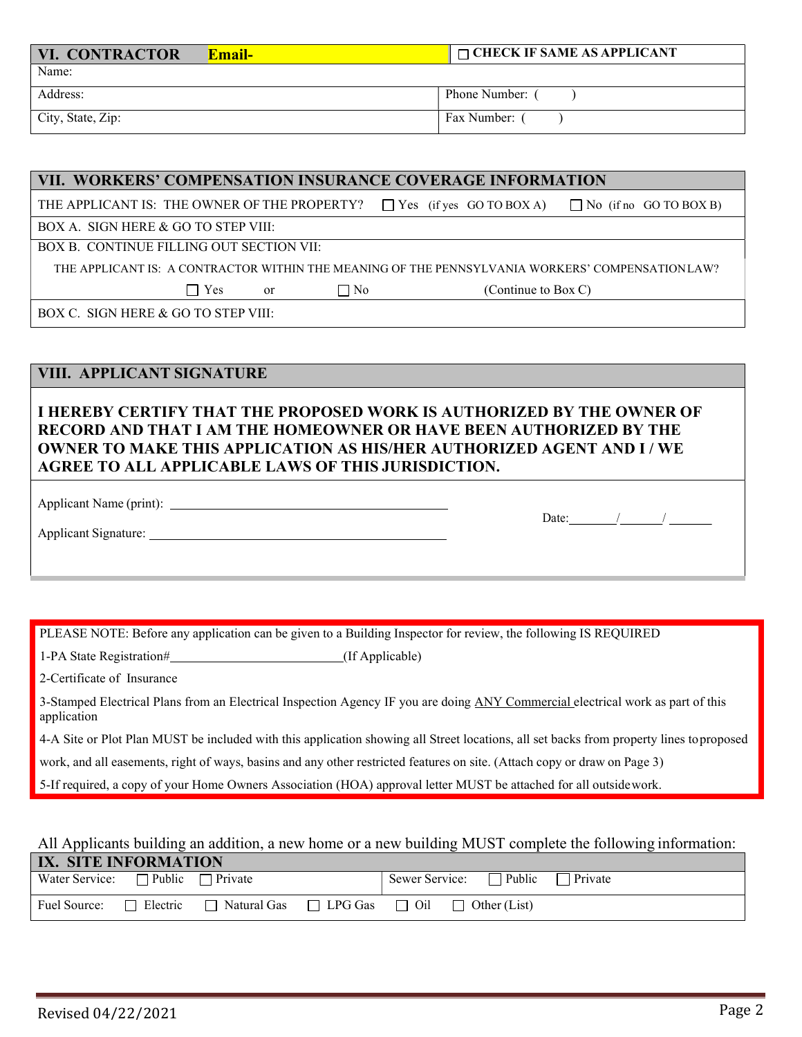| <b>VI. CONTRACTOR</b><br>Email- | $\Box$ CHECK IF SAME AS APPLICANT |
|---------------------------------|-----------------------------------|
| Name:                           |                                   |
| Address:                        | Phone Number: (                   |
| City, State, Zip:               | Fax Number:                       |

#### VII. WORKERS' COMPENSATION INSURANCE COVERAGE INFORMATION

THE APPLICANT IS: THE OWNER OF THE PROPERTY?  $\Box$  Yes (if yes GO TO BOX A)  $\Box$  No (if no GO TO BOX B)

BOX A. SIGN HERE & GO TO STEP VIII:

BOX B. CONTINUE FILLING OUT SECTION VII:

THE APPLICANT IS: A CONTRACTOR WITHIN THE MEANING OF THE PENNSYLVANIA WORKERS' COMPENSATION LAW?

 $\Box$  Yes or  $\Box$  No (Continue to Box C)

BOX C. SIGN HERE & GO TO STEP VIII:

#### VIII. APPLICANT SIGNATURE

### I HEREBY CERTIFY THAT THE PROPOSED WORK IS AUTHORIZED BY THE OWNER OF RECORD AND THAT I AM THE HOMEOWNER OR HAVE BEEN AUTHORIZED BY THE OWNER TO MAKE THIS APPLICATION AS HIS/HER AUTHORIZED AGENT AND I / WE AGREE TO ALL APPLICABLE LAWS OF THIS JURISDICTION.

Applicant Name (print):

Applicant Signature:

PLEASE NOTE: Before any application can be given to a Building Inspector for review, the following IS REQUIRED

1-PA State Registration# (If Applicable)

2-Certificate of Insurance

3-Stamped Electrical Plans from an Electrical Inspection Agency IF you are doing ANY Commercial electrical work as part of this application

4-A Site or Plot Plan MUST be included with this application showing all Street locations, all set backs from property lines to proposed

work, and all easements, right of ways, basins and any other restricted features on site. (Attach copy or draw on Page 3)

5-If required, a copy of your Home Owners Association (HOA) approval letter MUST be attached for all outside work.

#### All Applicants building an addition, a new home or a new building MUST complete the following information:

| IX. SITE INFORMATION                        |                 |               |                                               |  |  |                              |                |  |
|---------------------------------------------|-----------------|---------------|-----------------------------------------------|--|--|------------------------------|----------------|--|
| Water Service: $\Box$ Public $\Box$ Private |                 |               |                                               |  |  | Sewer Service: $\Box$ Public | $\Box$ Private |  |
| Fuel Source:                                | $\Box$ Electric | □ Natural Gas | $\Box$ LPG Gas $\Box$ Oil $\Box$ Other (List) |  |  |                              |                |  |

Date:  $/$  /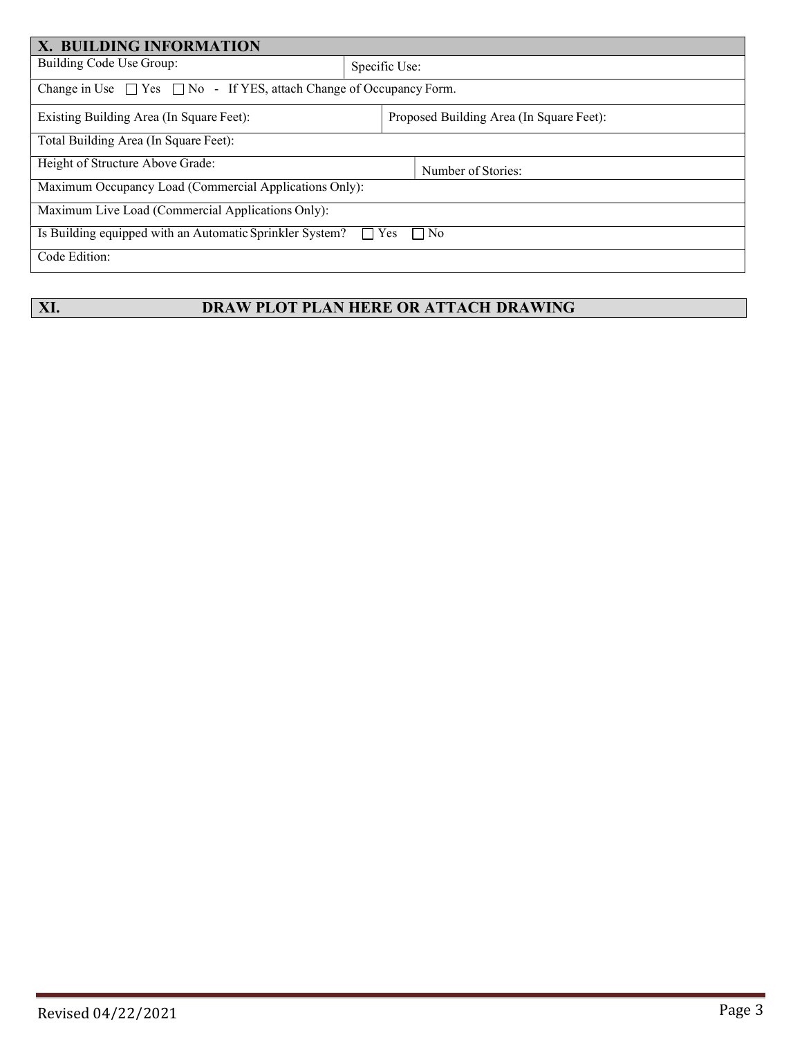| X. BUILDING INFORMATION                                                                      |                                          |                    |  |  |  |
|----------------------------------------------------------------------------------------------|------------------------------------------|--------------------|--|--|--|
| Building Code Use Group:                                                                     |                                          | Specific Use:      |  |  |  |
| Change in Use $\Box$ Yes $\Box$ No - If YES, attach Change of Occupancy Form.                |                                          |                    |  |  |  |
| Existing Building Area (In Square Feet):                                                     | Proposed Building Area (In Square Feet): |                    |  |  |  |
| Total Building Area (In Square Feet):                                                        |                                          |                    |  |  |  |
| Height of Structure Above Grade:                                                             |                                          | Number of Stories: |  |  |  |
| Maximum Occupancy Load (Commercial Applications Only):                                       |                                          |                    |  |  |  |
| Maximum Live Load (Commercial Applications Only):                                            |                                          |                    |  |  |  |
| Is Building equipped with an Automatic Sprinkler System?<br>Yes<br>$\Box$ No<br>$\mathsf{L}$ |                                          |                    |  |  |  |
| Code Edition:                                                                                |                                          |                    |  |  |  |

# XI. DRAW PLOT PLAN HERE OR ATTACH DRAWING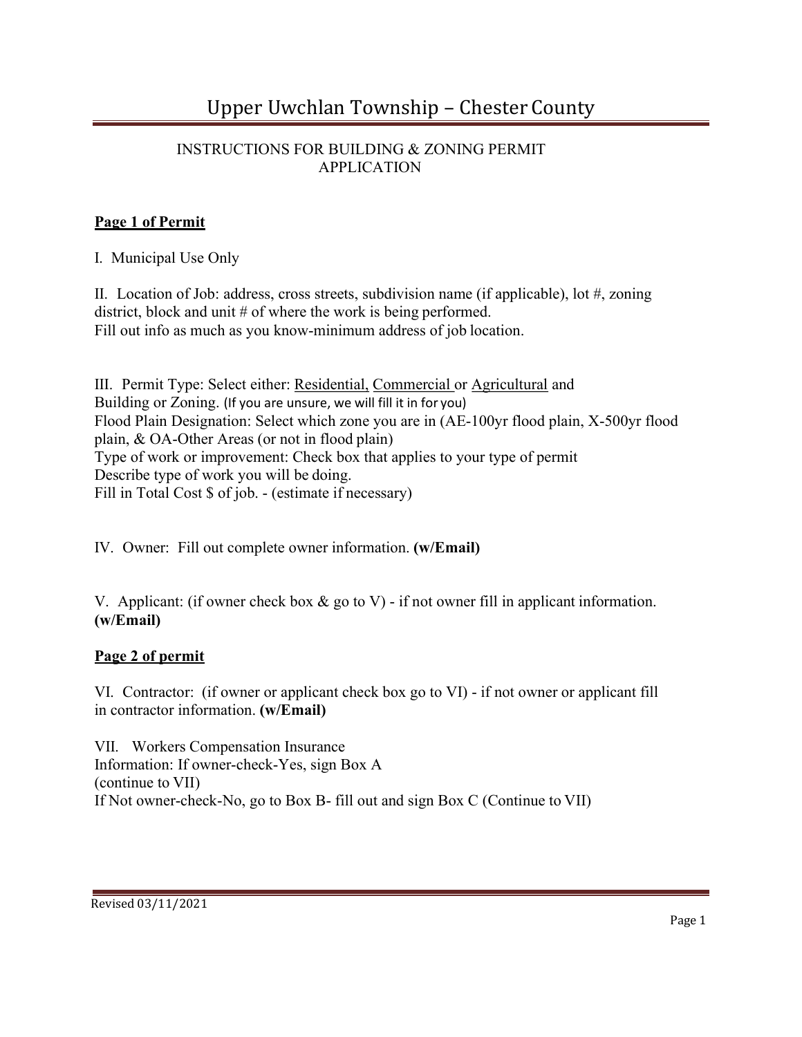## INSTRUCTIONS FOR BUILDING & ZONING PERMIT APPLICATION

# Page 1 of Permit

I. Municipal Use Only

II. Location of Job: address, cross streets, subdivision name (if applicable), lot #, zoning district, block and unit # of where the work is being performed. Fill out info as much as you know-minimum address of job location.

III. Permit Type: Select either: Residential, Commercial or Agricultural and Building or Zoning. (If you are unsure, we will fill it in for you) Flood Plain Designation: Select which zone you are in (AE-100yr flood plain, X-500yr flood plain, & OA-Other Areas (or not in flood plain) Type of work or improvement: Check box that applies to your type of permit Describe type of work you will be doing. Fill in Total Cost  $\$$  of job. - (estimate if necessary)

IV. Owner: Fill out complete owner information. (w/Email)

V. Applicant: (if owner check box  $\&$  go to V) - if not owner fill in applicant information. (w/Email)

# Page 2 of permit

VI. Contractor: (if owner or applicant check box go to VI) - if not owner or applicant fill in contractor information. (w/Email)

VII. Workers Compensation Insurance Information: If owner-check-Yes, sign Box A (continue to VII) If Not owner-check-No, go to Box B- fill out and sign Box C (Continue to VII)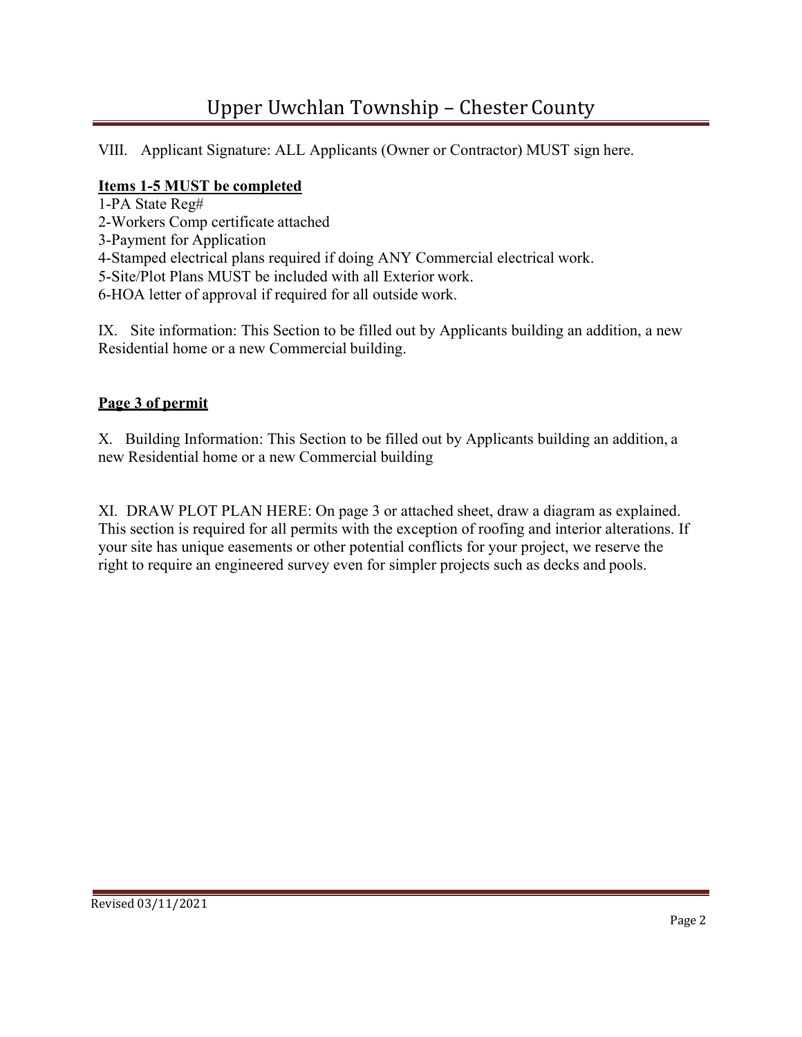# Upper Uwchlan Township – Chester County

VIII. Applicant Signature: ALL Applicants (Owner or Contractor) MUST sign here.

## Items 1-5 MUST be completed

- 1-PA State Reg#
- 2-Workers Comp certificate attached
- 3-Payment for Application
- 4-Stamped electrical plans required if doing ANY Commercial electrical work.
- 5-Site/Plot Plans MUST be included with all Exterior work.
- 6-HOA letter of approval if required for all outside work.

IX. Site information: This Section to be filled out by Applicants building an addition, a new Residential home or a new Commercial building.

### Page 3 of permit

X. Building Information: This Section to be filled out by Applicants building an addition, a new Residential home or a new Commercial building

XI. DRAW PLOT PLAN HERE: On page 3 or attached sheet, draw a diagram as explained. This section is required for all permits with the exception of roofing and interior alterations. If your site has unique easements or other potential conflicts for your project, we reserve the right to require an engineered survey even for simpler projects such as decks and pools.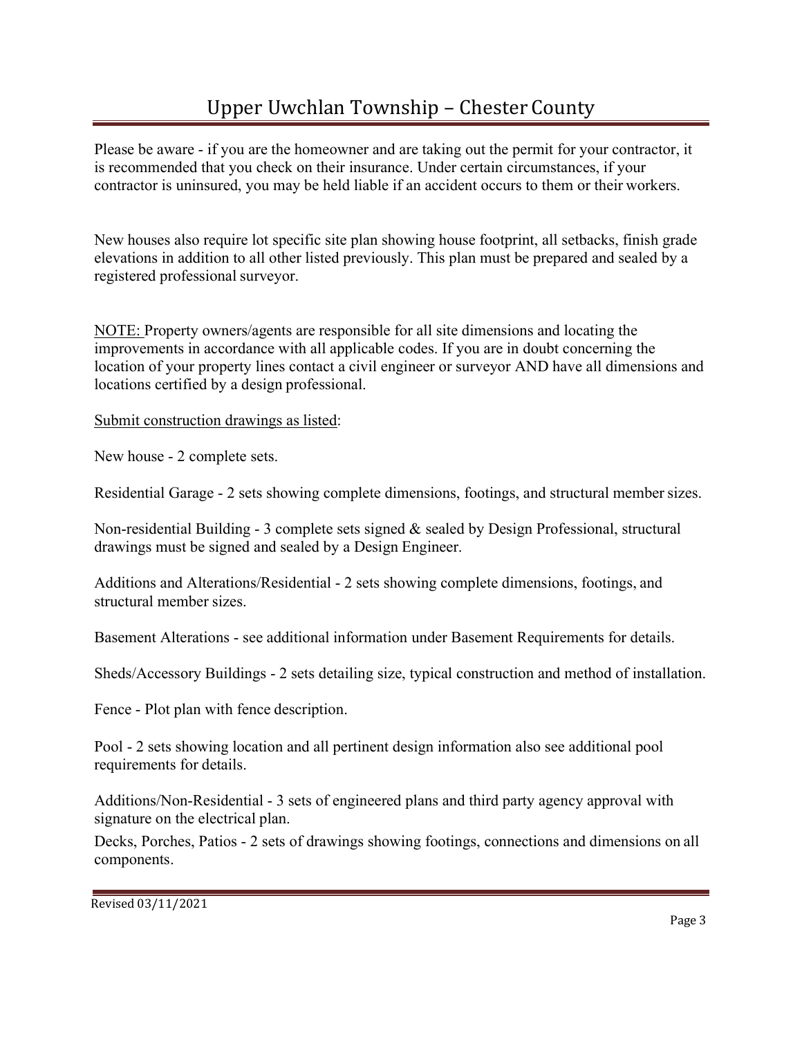Please be aware - if you are the homeowner and are taking out the permit for your contractor, it is recommended that you check on their insurance. Under certain circumstances, if your contractor is uninsured, you may be held liable if an accident occurs to them or their workers.

New houses also require lot specific site plan showing house footprint, all setbacks, finish grade elevations in addition to all other listed previously. This plan must be prepared and sealed by a registered professional surveyor.

NOTE: Property owners/agents are responsible for all site dimensions and locating the improvements in accordance with all applicable codes. If you are in doubt concerning the location of your property lines contact a civil engineer or surveyor AND have all dimensions and locations certified by a design professional.

Submit construction drawings as listed:

New house - 2 complete sets.

Residential Garage - 2 sets showing complete dimensions, footings, and structural member sizes.

Non-residential Building - 3 complete sets signed & sealed by Design Professional, structural drawings must be signed and sealed by a Design Engineer.

Additions and Alterations/Residential - 2 sets showing complete dimensions, footings, and structural member sizes.

Basement Alterations - see additional information under Basement Requirements for details.

Sheds/Accessory Buildings - 2 sets detailing size, typical construction and method of installation.

Fence - Plot plan with fence description.

Pool - 2 sets showing location and all pertinent design information also see additional pool requirements for details.

Additions/Non-Residential - 3 sets of engineered plans and third party agency approval with signature on the electrical plan.

Decks, Porches, Patios - 2 sets of drawings showing footings, connections and dimensions on all components.

Revised 03/11/2021